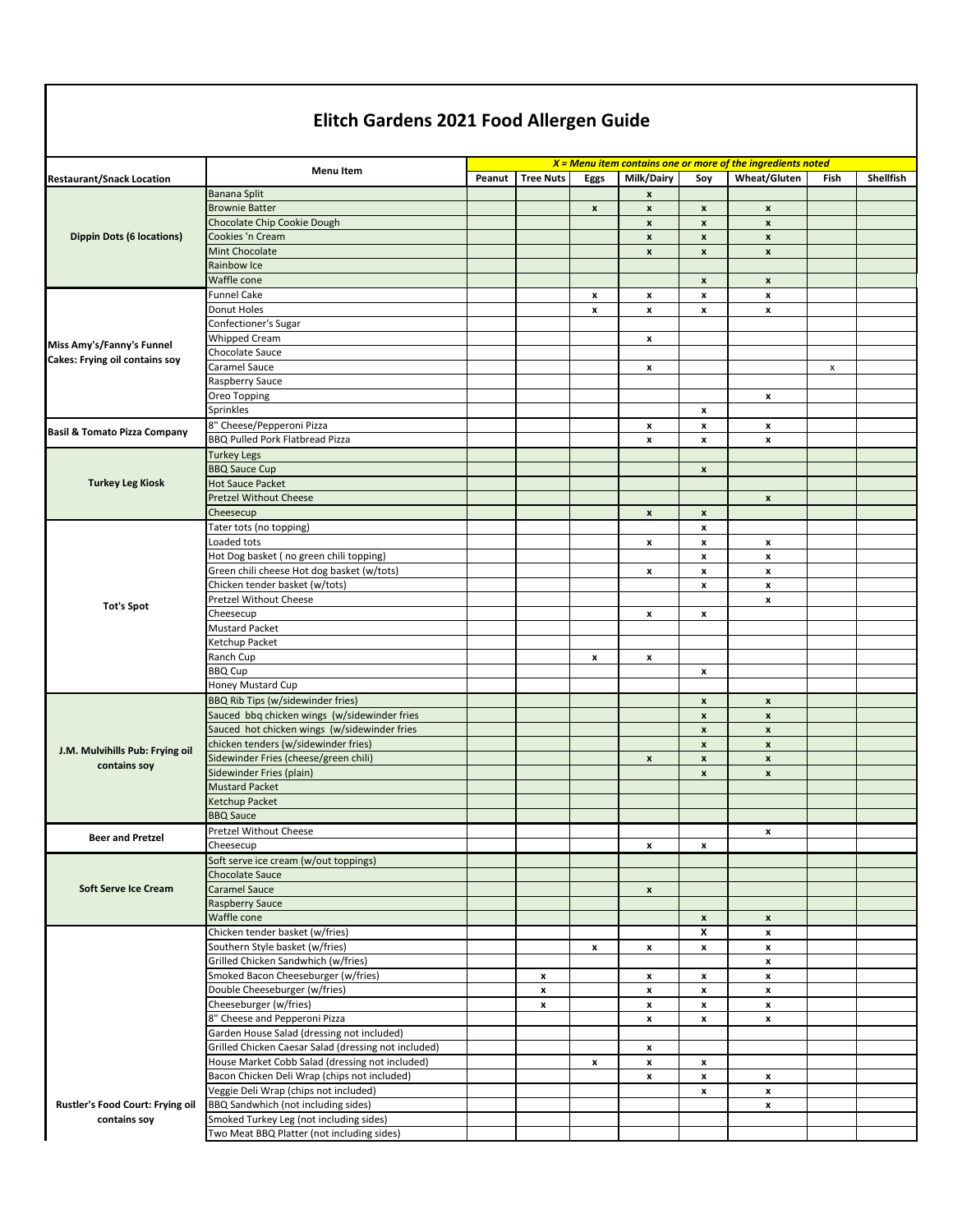## **Elitch Gardens 2021 Food Allergen Guide**

|                                                             | <b>Menu Item</b>                                                                      |        |                  |                    |                                          |                                          | $X =$ Menu item contains one or more of the ingredients noted |      |           |
|-------------------------------------------------------------|---------------------------------------------------------------------------------------|--------|------------------|--------------------|------------------------------------------|------------------------------------------|---------------------------------------------------------------|------|-----------|
| <b>Restaurant/Snack Location</b>                            |                                                                                       | Peanut | <b>Tree Nuts</b> | Eggs               | Milk/Dairy                               | Soy                                      | Wheat/Gluten                                                  | Fish | Shellfish |
| <b>Dippin Dots (6 locations)</b>                            | <b>Banana Split</b>                                                                   |        |                  |                    | $\pmb{\mathsf{x}}$                       |                                          |                                                               |      |           |
|                                                             | <b>Brownie Batter</b>                                                                 |        |                  | $\pmb{\mathsf{x}}$ | $\pmb{\mathsf{x}}$                       | $\pmb{\mathsf{x}}$                       | $\pmb{\mathsf{x}}$                                            |      |           |
|                                                             | Chocolate Chip Cookie Dough<br>Cookies 'n Cream                                       |        |                  |                    | $\pmb{\mathsf{x}}$                       | $\pmb{\mathsf{x}}$                       | X                                                             |      |           |
|                                                             | Mint Chocolate                                                                        |        |                  |                    | $\pmb{\mathsf{x}}$<br>$\pmb{\mathsf{x}}$ | $\pmb{\mathsf{x}}$<br>$\pmb{\mathsf{x}}$ | $\pmb{\mathsf{x}}$<br>x                                       |      |           |
|                                                             | Rainbow Ice                                                                           |        |                  |                    |                                          |                                          |                                                               |      |           |
|                                                             | Waffle cone                                                                           |        |                  |                    |                                          | $\pmb{\mathsf{x}}$                       | $\pmb{\mathsf{x}}$                                            |      |           |
| Miss Amy's/Fanny's Funnel<br>Cakes: Frying oil contains soy | <b>Funnel Cake</b>                                                                    |        |                  | x                  | x                                        | $\pmb{\chi}$                             | x                                                             |      |           |
|                                                             | Donut Holes                                                                           |        |                  | x                  | $\pmb{\mathsf{x}}$                       | x                                        | x                                                             |      |           |
|                                                             | Confectioner's Sugar                                                                  |        |                  |                    |                                          |                                          |                                                               |      |           |
|                                                             | <b>Whipped Cream</b>                                                                  |        |                  |                    | $\pmb{\mathsf{x}}$                       |                                          |                                                               |      |           |
|                                                             | Chocolate Sauce                                                                       |        |                  |                    |                                          |                                          |                                                               |      |           |
|                                                             | Caramel Sauce                                                                         |        |                  |                    | x                                        |                                          |                                                               | x    |           |
|                                                             | Raspberry Sauce                                                                       |        |                  |                    |                                          |                                          |                                                               |      |           |
|                                                             | Oreo Topping                                                                          |        |                  |                    |                                          |                                          | x                                                             |      |           |
|                                                             | Sprinkles                                                                             |        |                  |                    |                                          | x                                        |                                                               |      |           |
| <b>Basil &amp; Tomato Pizza Company</b>                     | 8" Cheese/Pepperoni Pizza                                                             |        |                  |                    | $\boldsymbol{x}$                         | x                                        | x                                                             |      |           |
|                                                             | <b>BBQ Pulled Pork Flatbread Pizza</b>                                                |        |                  |                    | x                                        | x                                        | x                                                             |      |           |
|                                                             | <b>Turkey Legs</b>                                                                    |        |                  |                    |                                          |                                          |                                                               |      |           |
|                                                             | <b>BBQ Sauce Cup</b>                                                                  |        |                  |                    |                                          | $\pmb{\mathsf{x}}$                       |                                                               |      |           |
| <b>Turkey Leg Kiosk</b>                                     | <b>Hot Sauce Packet</b>                                                               |        |                  |                    |                                          |                                          |                                                               |      |           |
|                                                             | <b>Pretzel Without Cheese</b>                                                         |        |                  |                    |                                          |                                          | x                                                             |      |           |
|                                                             | Cheesecup                                                                             |        |                  |                    | $\pmb{\mathsf{x}}$                       | X                                        |                                                               |      |           |
|                                                             | Tater tots (no topping)                                                               |        |                  |                    |                                          | x                                        |                                                               |      |           |
|                                                             | Loaded tots                                                                           |        |                  |                    | x                                        | x                                        | x                                                             |      |           |
|                                                             | Hot Dog basket (no green chili topping)<br>Green chili cheese Hot dog basket (w/tots) |        |                  |                    |                                          | x                                        | $\pmb{\mathsf{x}}$                                            |      |           |
|                                                             | Chicken tender basket (w/tots)                                                        |        |                  |                    | $\boldsymbol{\mathsf{x}}$                | x<br>x                                   | x<br>x                                                        |      |           |
|                                                             | <b>Pretzel Without Cheese</b>                                                         |        |                  |                    |                                          |                                          | x                                                             |      |           |
| <b>Tot's Spot</b>                                           | Cheesecup                                                                             |        |                  |                    | $\pmb{\mathsf{x}}$                       | x                                        |                                                               |      |           |
|                                                             | <b>Mustard Packet</b>                                                                 |        |                  |                    |                                          |                                          |                                                               |      |           |
|                                                             | Ketchup Packet                                                                        |        |                  |                    |                                          |                                          |                                                               |      |           |
|                                                             | Ranch Cup                                                                             |        |                  | x                  | x                                        |                                          |                                                               |      |           |
|                                                             | <b>BBQ Cup</b>                                                                        |        |                  |                    |                                          | x                                        |                                                               |      |           |
|                                                             | Honey Mustard Cup                                                                     |        |                  |                    |                                          |                                          |                                                               |      |           |
|                                                             | BBQ Rib Tips (w/sidewinder fries)                                                     |        |                  |                    |                                          | X                                        | x                                                             |      |           |
| J.M. Mulvihills Pub: Frying oil<br>contains soy             | Sauced bbq chicken wings (w/sidewinder fries                                          |        |                  |                    |                                          | X                                        | $\pmb{\mathsf{x}}$                                            |      |           |
|                                                             | Sauced hot chicken wings (w/sidewinder fries                                          |        |                  |                    |                                          | $\pmb{\mathsf{x}}$                       | $\pmb{\mathsf{x}}$                                            |      |           |
|                                                             | chicken tenders (w/sidewinder fries)                                                  |        |                  |                    |                                          | X                                        | $\pmb{\mathsf{x}}$                                            |      |           |
|                                                             | Sidewinder Fries (cheese/green chili)                                                 |        |                  |                    | $\pmb{\mathsf{x}}$                       | $\pmb{\mathsf{x}}$                       | x                                                             |      |           |
|                                                             | Sidewinder Fries (plain)                                                              |        |                  |                    |                                          | $\pmb{\mathsf{x}}$                       | $\pmb{\mathsf{x}}$                                            |      |           |
|                                                             | <b>Mustard Packet</b>                                                                 |        |                  |                    |                                          |                                          |                                                               |      |           |
|                                                             | Ketchup Packet                                                                        |        |                  |                    |                                          |                                          |                                                               |      |           |
|                                                             | <b>BBQ Sauce</b>                                                                      |        |                  |                    |                                          |                                          |                                                               |      |           |
| <b>Beer and Pretzel</b>                                     | <b>Pretzel Without Cheese</b><br>Cheesecup                                            |        |                  |                    |                                          |                                          | x                                                             |      |           |
| Soft Serve Ice Cream                                        | Soft serve ice cream (w/out toppings)                                                 |        |                  |                    | x                                        | x                                        |                                                               |      |           |
|                                                             | Chocolate Sauce                                                                       |        |                  |                    |                                          |                                          |                                                               |      |           |
|                                                             | Caramel Sauce                                                                         |        |                  |                    | $\pmb{\mathsf{x}}$                       |                                          |                                                               |      |           |
|                                                             | <b>Raspberry Sauce</b>                                                                |        |                  |                    |                                          |                                          |                                                               |      |           |
|                                                             | Waffle cone                                                                           |        |                  |                    |                                          | x                                        | $\pmb{\mathsf{x}}$                                            |      |           |
|                                                             | Chicken tender basket (w/fries)                                                       |        |                  |                    |                                          | x                                        | x                                                             |      |           |
|                                                             | Southern Style basket (w/fries)                                                       |        |                  | x                  | x                                        | x                                        | x                                                             |      |           |
|                                                             | Grilled Chicken Sandwhich (w/fries)                                                   |        |                  |                    |                                          |                                          | x                                                             |      |           |
|                                                             | Smoked Bacon Cheeseburger (w/fries)                                                   |        | x                |                    | x                                        | x                                        | x                                                             |      |           |
|                                                             | Double Cheeseburger (w/fries)                                                         |        | x                |                    | x                                        | x                                        | x                                                             |      |           |
|                                                             | Cheeseburger (w/fries)                                                                |        | x                |                    | x                                        | x                                        | x                                                             |      |           |
|                                                             | 8" Cheese and Pepperoni Pizza                                                         |        |                  |                    | x                                        | x                                        | x                                                             |      |           |
| Rustler's Food Court: Frying oil<br>contains soy            | Garden House Salad (dressing not included)                                            |        |                  |                    |                                          |                                          |                                                               |      |           |
|                                                             | Grilled Chicken Caesar Salad (dressing not included)                                  |        |                  |                    | x                                        |                                          |                                                               |      |           |
|                                                             | House Market Cobb Salad (dressing not included)                                       |        |                  | x                  | x                                        | x                                        |                                                               |      |           |
|                                                             | Bacon Chicken Deli Wrap (chips not included)                                          |        |                  |                    | x                                        | x                                        | x                                                             |      |           |
|                                                             | Veggie Deli Wrap (chips not included)<br>BBQ Sandwhich (not including sides)          |        |                  |                    |                                          | x                                        | x<br>x                                                        |      |           |
|                                                             | Smoked Turkey Leg (not including sides)                                               |        |                  |                    |                                          |                                          |                                                               |      |           |
|                                                             | Two Meat BBQ Platter (not including sides)                                            |        |                  |                    |                                          |                                          |                                                               |      |           |
|                                                             |                                                                                       |        |                  |                    |                                          |                                          |                                                               |      |           |